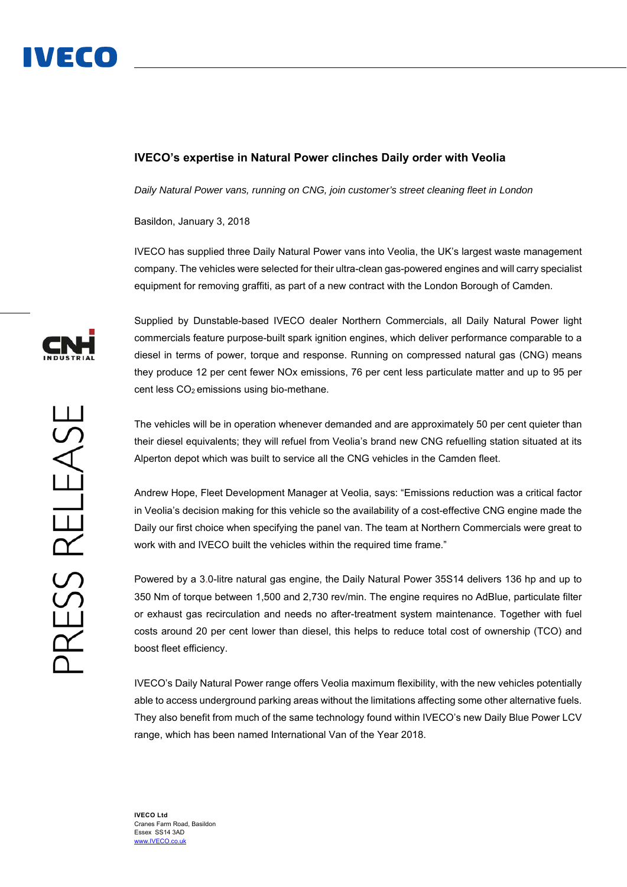

## **IVECO's expertise in Natural Power clinches Daily order with Veolia**

*Daily Natural Power vans, running on CNG, join customer's street cleaning fleet in London* 

Basildon, January 3, 2018

IVECO has supplied three Daily Natural Power vans into Veolia, the UK's largest waste management company. The vehicles were selected for their ultra-clean gas-powered engines and will carry specialist equipment for removing graffiti, as part of a new contract with the London Borough of Camden.

Supplied by Dunstable-based IVECO dealer Northern Commercials, all Daily Natural Power light commercials feature purpose-built spark ignition engines, which deliver performance comparable to a diesel in terms of power, torque and response. Running on compressed natural gas (CNG) means they produce 12 per cent fewer NOx emissions, 76 per cent less particulate matter and up to 95 per cent less  $CO<sub>2</sub>$  emissions using bio-methane.

The vehicles will be in operation whenever demanded and are approximately 50 per cent quieter than their diesel equivalents; they will refuel from Veolia's brand new CNG refuelling station situated at its Alperton depot which was built to service all the CNG vehicles in the Camden fleet.

Andrew Hope, Fleet Development Manager at Veolia, says: "Emissions reduction was a critical factor in Veolia's decision making for this vehicle so the availability of a cost-effective CNG engine made the Daily our first choice when specifying the panel van. The team at Northern Commercials were great to work with and IVECO built the vehicles within the required time frame."

Powered by a 3.0-litre natural gas engine, the Daily Natural Power 35S14 delivers 136 hp and up to 350 Nm of torque between 1,500 and 2,730 rev/min. The engine requires no AdBlue, particulate filter or exhaust gas recirculation and needs no after-treatment system maintenance. Together with fuel costs around 20 per cent lower than diesel, this helps to reduce total cost of ownership (TCO) and boost fleet efficiency.

IVECO's Daily Natural Power range offers Veolia maximum flexibility, with the new vehicles potentially able to access underground parking areas without the limitations affecting some other alternative fuels. They also benefit from much of the same technology found within IVECO's new Daily Blue Power LCV range, which has been named International Van of the Year 2018.